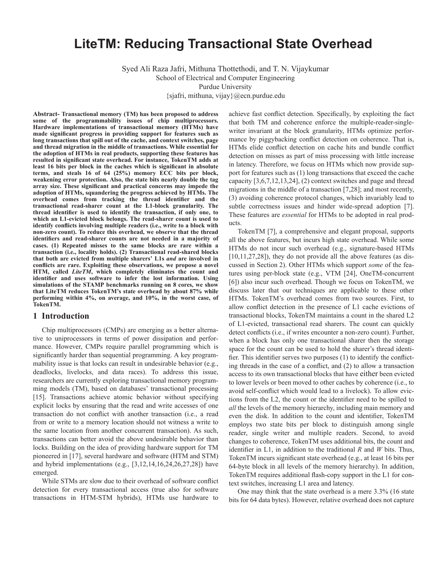# **LiteTM: Reducing Transactional State Overhead**

Syed Ali Raza Jafri, Mithuna Thottethodi, and T. N. Vijaykumar

School of Electrical and Computer Engineering

Purdue University

{sjafri, mithuna, vijay}@ecn.purdue.edu

**Abstract- Transactional memory (TM) has been proposed to address some of the programmability issues of chip multiprocessors. Hardware implementations of transactional memory (HTMs) have made significant progress in providing support for features such as long transactions that spill out of the cache, and context switches, page and thread migration in the middle of transactions. While essential for the adoption of HTMs in real products, supporting these features has resulted in significant state overhead. For instance, TokenTM adds at least 16 bits per block in the caches which is significant in absolute terms, and steals 16 of 64 (25%) memory ECC bits per block, weakening error protection. Also, the state bits nearly double the tag array size. These significant and practical concerns may impede the adoption of HTMs, squandering the progress achieved by HTMs. The overhead comes from tracking the thread identifier and the transactional read-sharer count at the L1-block granularity. The thread identifier is used to identify the transaction, if only one, to which an L1-evicted block belongs. The read-sharer count is used to identify conflicts involving multiple readers (i.e., write to a block with non-zero count). To reduce this overhead, we observe that the thread identifiers and read-sharer counts are not needed in a majority of cases. (1) Repeated misses to the same blocks are rare within a transaction (i.e., locality holds). (2) Transactional read-shared blocks that both are evicted from multiple sharers' L1s** *and* **are involved in conflicts are rare. Exploiting these observations, we propose a novel HTM, called** *LiteTM***, which completely eliminates the count and identifier and uses software to infer the lost information. Using simulations of the STAMP benchmarks running on 8 cores, we show that LiteTM reduces TokenTM's state overhead by about 87% while performing within 4%, on average, and 10%, in the worst case, of TokenTM.**

## **1 Introduction**

Chip multiprocessors (CMPs) are emerging as a better alternative to uniprocessors in terms of power dissipation and performance. However, CMPs require parallel programming which is significantly harder than sequential programming. A key programmability issue is that locks can result in undesirable behavior (e.g., deadlocks, livelocks, and data races). To address this issue, researchers are currently exploring transactional memory programming models (TM), based on databases' transactional processing [15]. Transactions achieve atomic behavior without specifying explicit locks by ensuring that the read and write accesses of one transaction do not conflict with another transaction (i.e., a read from or write to a memory location should not witness a write to the same location from another concurrent transaction). As such, transactions can better avoid the above undesirable behavior than locks. Building on the idea of providing hardware support for TM pioneered in [17], several hardware and software (HTM and STM) and hybrid implementations (e.g.,  $[3,12,14,16,24,26,27,28]$ ) have emerged.

While STMs are slow due to their overhead of software conflict detection for every transactional access (true also for software transactions in HTM-STM hybrids), HTMs use hardware to achieve fast conflict detection. Specifically, by exploiting the fact that both TM and coherence enforce the multiple-reader-singlewriter invariant at the block granularity, HTMs optimize performance by piggybacking conflict detection on coherence. That is, HTMs elide conflict detection on cache hits and bundle conflict detection on misses as part of miss processing with little increase in latency. Therefore, we focus on HTMs which now provide support for features such as (1) long transactions that exceed the cache capacity [3,6,7,12,13,24], (2) context switches and page and thread migrations in the middle of a transaction [7,28]; and most recently, (3) avoiding coherence protocol changes, which invariably lead to subtle correctness issues and hinder wide-spread adoption [7]. These features are *essential* for HTMs to be adopted in real products.

TokenTM [7], a comprehensive and elegant proposal, supports all the above features, but incurs high state overhead. While some HTMs do not incur such overhead (e.g., signature-based HTMs  $[10,11,27,28]$ ), they do not provide all the above features (as discussed in Section 2). Other HTMs which support *some* of the features using per-block state (e.g., VTM [24], OneTM-concurrent [6]) also incur such overhead. Though we focus on TokenTM, we discuss later that our techniques are applicable to these other HTMs. TokenTM's overhead comes from two sources. First, to allow conflict detection in the presence of L1 cache evictions of transactional blocks, TokenTM maintains a count in the shared L2 of L1-evicted, transactional read sharers. The count can quickly detect conflicts (i.e., if writes encounter a non-zero count). Further, when a block has only one transactional sharer then the storage space for the count can be used to hold the sharer's thread identifier. This identifier serves two purposes (1) to identify the conflicting threads in the case of a conflict, and (2) to allow a transaction access to its own transactional blocks that have either been evicted to lower levels or been moved to other caches by coherence (i.e., to avoid self-conflict which would lead to a livelock). To allow evictions from the L2, the count or the identifier need to be spilled to *all* the levels of the memory hierarchy, including main memory and even the disk. In addition to the count and identifier, TokenTM employs two state bits per block to distinguish among single reader, single writer and multiple readers. Second, to avoid changes to coherence, TokenTM uses additional bits, the count and identifier in L1, in addition to the traditional *R* and *W* bits. Thus, TokenTM incurs significant state overhead (e.g., at least 16 bits per 64-byte block in all levels of the memory hierarchy). In addition, TokenTM requires additional flash-copy support in the L1 for context switches, increasing L1 area and latency.

One may think that the state overhead is a mere 3.3% (16 state bits for 64 data bytes). However, relative overhead does not capture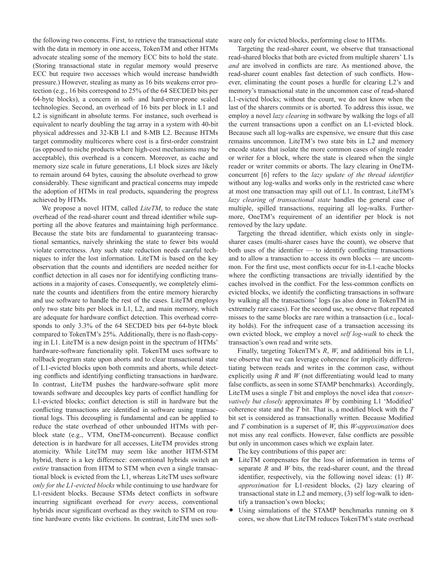the following two concerns. First, to retrieve the transactional state with the data in memory in one access, TokenTM and other HTMs advocate stealing some of the memory ECC bits to hold the state. (Storing transactional state in regular memory would preserve ECC but require two accesses which would increase bandwidth pressure.) However, stealing as many as 16 bits weakens error protection (e.g., 16 bits correspond to 25% of the 64 SECDED bits per 64-byte blocks), a concern in soft- and hard-error-prone scaled technologies. Second, an overhead of 16 bits per block in L1 and L2 is significant in absolute terms. For instance, such overhead is equivalent to nearly doubling the tag array in a system with 40-bit physical addresses and 32-KB L1 and 8-MB L2. Because HTMs target commodity multicores where cost is a first-order constraint (as opposed to niche products where high-cost mechanisms may be acceptable), this overhead is a concern. Moreover, as cache and memory size scale in future generations, L1 block sizes are likely to remain around 64 bytes, causing the absolute overhead to grow considerably. These significant and practical concerns may impede the adoption of HTMs in real products, squandering the progress achieved by HTMs.

We propose a novel HTM, called *LiteTM*, to reduce the state overhead of the read-sharer count and thread identifier while supporting all the above features and maintaining high performance. Because the state bits are fundamental to guaranteeing transactional semantics, naively shrinking the state to fewer bits would violate correctness. Any such state reduction needs careful techniques to infer the lost information. LiteTM is based on the key observation that the counts and identifiers are needed neither for conflict detection in all cases nor for identifying conflicting transactions in a majority of cases. Consequently, we completely eliminate the counts and identifiers from the entire memory hierarchy and use software to handle the rest of the cases. LiteTM employs only two state bits per block in L1, L2, and main memory, which are adequate for hardware conflict detection. This overhead corresponds to only 3.3% of the 64 SECDED bits per 64-byte block compared to TokenTM's 25%. Additionally, there is no flash-copying in L1. LiteTM is a new design point in the spectrum of HTMs' hardware-software functionality split. TokenTM uses software to rollback program state upon aborts and to clear transactional state of L1-evicted blocks upon both commits and aborts, while detecting conflicts and identifying conflicting transactions in hardware. In contrast, LiteTM pushes the hardware-software split more towards software and decouples key parts of conflict handling for L1-evicted blocks; conflict detection is still in hardware but the conflicting transactions are identified in software using transactional logs. This decoupling is fundamental and can be applied to reduce the state overhead of other unbounded HTMs with perblock state (e.g., VTM, OneTM-concurrent). Because conflict detection is in hardware for all accesses, LiteTM provides strong atomicity. While LiteTM may seem like another HTM-STM hybrid, there is a key difference: conventional hybrids switch an *entire* transaction from HTM to STM when even a single transactional block is evicted from the L1, whereas LiteTM uses software *only for the L1-evicted blocks* while continuing to use hardware for L1-resident blocks. Because STMs detect conflicts in software incurring significant overhead for *every* access, conventional hybrids incur significant overhead as they switch to STM on routine hardware events like evictions. In contrast, LiteTM uses software only for evicted blocks, performing close to HTMs.

Targeting the read-sharer count, we observe that transactional read-shared blocks that both are evicted from multiple sharers' L1s *and* are involved in conflicts are rare. As mentioned above, the read-sharer count enables fast detection of such conflicts. However, eliminating the count poses a hurdle for clearing L2's and memory's transactional state in the uncommon case of read-shared L1-evicted blocks; without the count, we do not know when the last of the sharers commits or is aborted. To address this issue, we employ a novel *lazy clearing* in software by walking the logs of all the current transactions upon a conflict on an L1-evicted block. Because such all log-walks are expensive, we ensure that this case remains uncommon. LiteTM's two state bits in L2 and memory encode states that isolate the more common cases of single reader or writer for a block, where the state is cleared when the single reader or writer commits or aborts. The lazy clearing in OneTMconcurrent [6] refers to the *lazy update of the thread identifier* without any log-walks and works only in the restricted case where at most one transaction may spill out of L1. In contrast, LiteTM's *lazy clearing of transactional state* handles the general case of multiple, spilled transactions, requiring all log-walks. Furthermore, OneTM's requirement of an identifier per block is not removed by the lazy update.

Targeting the thread identifier, which exists only in singlesharer cases (multi-sharer cases have the count), we observe that both uses of the identifier — to identify conflicting transactions and to allow a transaction to access its own blocks — are uncommon. For the first use, most conflicts occur for in-L1-cache blocks where the conflicting transactions are trivially identified by the caches involved in the conflict. For the less-common conflicts on evicted blocks, we identify the conflicting transactions in software by walking all the transactions' logs (as also done in TokenTM in extremely rare cases). For the second use, we observe that repeated misses to the same blocks are rare within a transaction (i.e., locality holds). For the infrequent case of a transaction accessing its own evicted block, we employ a novel *self log-walk* to check the transaction's own read and write sets.

Finally, targeting TokenTM's *R*, *W*, and additional bits in L1, we observe that we can leverage coherence for implicitly differentiating between reads and writes in the common case, without explicitly using *R* and *W* (not differentiating would lead to many false conflicts, as seen in some STAMP benchmarks)*.* Accordingly, LiteTM uses a single *T* bit and employs the novel idea that *conservatively but closely* approximates *W* by combining L1 'Modified' coherence state and the *T* bit. That is, a modified block with the *T* bit set is considered as transactionally written. Because Modified and *T* combination is a superset of *W*, this *W-approximation* does not miss any real conflicts. However, false conflicts are possible but only in uncommon cases which we explain later.

The key contributions of this paper are:

- **•** LiteTM compensates for the loss of information in terms of separate *R* and *W* bits, the read-sharer count, and the thread identifier, respectively, via the following novel ideas: (1) *Wapproximation* for L1-resident blocks, (2) lazy clearing of transactional state in L2 and memory, (3) self log-walk to identify a transaction's own blocks;
- **•** Using simulations of the STAMP benchmarks running on 8 cores, we show that LiteTM reduces TokenTM's state overhead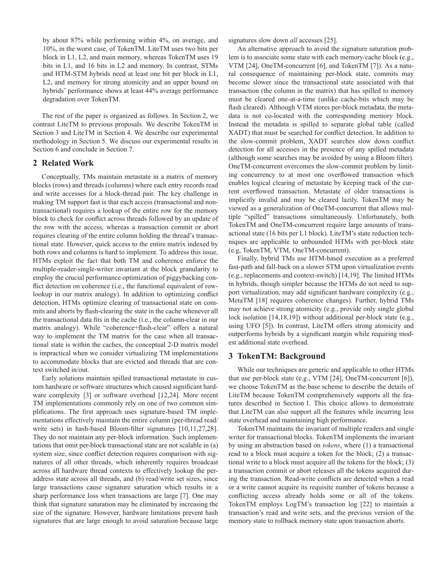by about 87% while performing within 4%, on average, and 10%, in the worst case, of TokenTM. LiteTM uses two bits per block in L1, L2, and main memory, whereas TokenTM uses 19 bits in L1, and 16 bits in L2 and memory. In contrast, STMs and HTM-STM hybrids need at least one bit per block in L1, L2, and memory for strong atomicity and an upper bound on hybrids' performance shows at least 44% average performance degradation over TokenTM.

The rest of the paper is organized as follows. In Section 2, we contrast LiteTM to previous proposals. We describe TokenTM in Section 3 and LiteTM in Section 4. We describe our experimental methodology in Section 5. We discuss our experimental results in Section 6 and conclude in Section 7.

# **2 Related Work**

Conceptually, TMs maintain metastate in a matrix of memory blocks (rows) and threads (columns) where each entry records read and write accesses for a block-thread pair. The key challenge in making TM support fast is that each access (transactional and nontransactional) requires a lookup of the entire row for the memory block to check for conflict across threads followed by an update of the row with the access, whereas a transaction commit or abort requires clearing of the entire column holding the thread's transactional state. However, quick access to the entire matrix indexed by both rows and columns is hard to implement. To address this issue, HTMs exploit the fact that both TM and coherence enforce the multiple-reader-single-writer invariant at the block granularity to employ the crucial performance optimization of piggybacking conflict detection on coherence (i.e., the functional equivalent of rowlookup in our matrix analogy). In addition to optimizing conflict detection, HTMs optimize clearing of transactional state on commits and aborts by flash-clearing the state in the cache whenever all the transactional data fits in the cache (i.e., the column-clear in our matrix analogy). While "coherence+flash-clear" offers a natural way to implement the TM matrix for the case when all transactional state is within the caches, the conceptual 2-D matrix model is impractical when we consider virtualizing TM implementations to accommodate blocks that are evicted and threads that are context switched in/out.

Early solutions maintain spilled transactional metastate in custom hardware or software structures which caused significant hardware complexity [3] or software overhead [12,24]. More recent TM implementations commonly rely on one of two common simplifications. The first approach uses signature-based TM implementations effectively maintain the entire column (per-thread read/ write sets) in hash-based Bloom-filter signatures [10,11,27,28]. They do not maintain any per-block information. Such implementations that omit per-block transactional state are not scalable in (a) system size, since conflict detection requires comparison with signatures of all other threads, which inherently requires broadcast across all hardware thread contexts to effectively lookup the peraddress state across all threads, and (b) read/write set sizes, since large transactions cause signature saturation which results in a sharp performance loss when transactions are large [7]. One may think that signature saturation may be eliminated by increasing the size of the signature. However, hardware limitations prevent hash signatures that are large enough to avoid saturation because large

signatures slow down *all* accesses [25].

An alternative approach to avoid the signature saturation problem is to associate some state with each memory/cache block (e.g., VTM [24], OneTM-concurrent [6], and TokenTM [7]). As a natural consequence of maintaining per-block state, commits may become slower since the transactional state associated with that transaction (the column in the matrix) that has spilled to memory must be cleared one-at-a-time (unlike cache-bits which may be flash cleared). Although VTM stores per-block metadata, the metadata is not co-located with the corresponding memory block. Instead the metadata is spilled to separate global table (called XADT) that must be searched for conflict detection. In addition to the slow-commit problem, XADT searches slow down conflict detection for all accesses in the presence of any spilled metadata (although some searches may be avoided by using a Bloom filter). OneTM-concurrent overcomes the slow-commit problem by limiting concurrency to at most one overflowed transaction which enables logical clearing of metastate by keeping track of the current overflowed transaction. Metastate of older transactions is implicitly invalid and may be cleared lazily. TokenTM may be viewed as a generalization of OneTM-concurrent that allows multiple "spilled" transactions simultaneously. Unfortunately, both TokenTM and OneTM-concurrent require large amounts of transactional state (16 bits per L1 block). LiteTM's state reduction techniques are applicable to unbounded HTMs with per-block state (e.g, TokenTM, VTM, OneTM-concurrent).

Finally, hybrid TMs use HTM-based execution as a preferred fast-path and fall-back on a slower STM upon virtualization events (e.g., replacements and context-switch) [14,19]. The limited HTMs in hybrids, though simpler because the HTMs do not need to support virtualization, may add significant hardware complexity (e.g., MetaTM [18] requires coherence changes). Further, hybrid TMs may not achieve strong atomicity (e.g., provide only single global lock isolation [14,18,19]) without additional per-block state (e.g., using UFO [5]). In contrast, LiteTM offers strong atomicity and outperforms hybrids by a significant margin while requiring modest additional state overhead.

# **3 TokenTM: Background**

While our techniques are generic and applicable to other HTMs that use per-block state (e.g., VTM [24], OneTM-concurrent [6]), we choose TokenTM as the base scheme to describe the details of LiteTM because TokenTM comprehensively supports all the features described in Section 1. This choice allows to demonstrate that LiteTM can also support all the features while incurring less state overhead and maintaining high performance.

TokenTM maintains the invariant of multiple readers and single writer for transactional blocks. TokenTM implements the invariant by using an abstraction based on *tokens*, where (1) a transactional read to a block must acquire a token for the block; (2) a transactional write to a block must acquire all the tokens for the block; (3) a transaction commit or abort releases all the tokens acquired during the transaction. Read-write conflicts are detected when a read or a write cannot acquire its requisite number of tokens because a conflicting access already holds some or all of the tokens. TokenTM employs LogTM's transaction log [22] to maintain a transaction's read and write sets, and the previous version of the memory state to rollback memory state upon transaction aborts.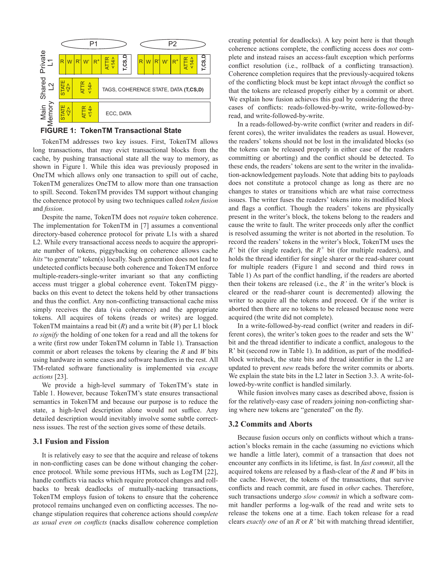

# **FIGURE 1: TokenTM Transactional State**

TokenTM addresses two key issues. First, TokenTM allows long transactions, that may evict transactional blocks from the cache, by pushing transactional state all the way to memory, as shown in Figure 1. While this idea was previously proposed in OneTM which allows only one transaction to spill out of cache, TokenTM generalizes OneTM to allow more than one transaction to spill. Second. TokenTM provides TM support without changing the coherence protocol by using two techniques called *token fusion* and *fission*.

Despite the name, TokenTM does not *require* token coherence. The implementation for TokenTM in [7] assumes a conventional directory-based coherence protocol for private L1s with a shared L2. While every transactional access needs to acquire the appropriate number of tokens, piggybacking on coherence allows cache *hits* "to generate" token(s) locally. Such generation does not lead to undetected conflicts because both coherence and TokenTM enforce multiple-readers-single-writer invariant so that any conflicting access must trigger a global coherence event. TokenTM piggybacks on this event to detect the tokens held by other transactions and thus the conflict. Any non-conflicting transactional cache miss simply receives the data (via coherence) and the appropriate tokens. All acquires of tokens (reads or writes) are logged. TokenTM maintains a read bit (*R*) and a write bit (*W*) per L1 block *to signify* the holding of one token for a read and all the tokens for a write (first row under TokenTM column in Table 1). Transaction commit or abort releases the tokens by clearing the *R* and *W* bits using hardware in some cases and software handlers in the rest. All TM-related software functionality is implemented via *escape actions* [23].

We provide a high-level summary of TokenTM's state in Table 1. However, because TokenTM's state ensures transactional semantics in TokenTM and because our purpose is to reduce the state, a high-level description alone would not suffice. Any detailed description would inevitably involve some subtle correctness issues. The rest of the section gives some of these details.

## **3.1 Fusion and Fission**

It is relatively easy to see that the acquire and release of tokens in non-conflicting cases can be done without changing the coherence protocol. While some previous HTMs, such as LogTM [22], handle conflicts via nacks which require protocol changes and rollbacks to break deadlocks of mutually-nacking transactions, TokenTM employs fusion of tokens to ensure that the coherence protocol remains unchanged even on conflicting accesses. The nochange stipulation requires that coherence actions should *complete as usual even on conflicts* (nacks disallow coherence completion

creating potential for deadlocks). A key point here is that though coherence actions complete, the conflicting access does *not* complete and instead raises an access-fault exception which performs conflict resolution (i.e., rollback of a conflicting transaction). Coherence completion requires that the previously-acquired tokens of the conflicting block must be kept intact *through* the conflict so that the tokens are released properly either by a commit or abort. We explain how fusion achieves this goal by considering the three cases of conflicts: reads-followed-by-write, write-followed-byread, and write-followed-by-write.

In a reads-followed-by-write conflict (writer and readers in different cores), the writer invalidates the readers as usual. However, the readers' tokens should not be lost in the invalidated blocks (so the tokens can be released properly in either case of the readers committing or aborting) and the conflict should be detected. To these ends, the readers' tokens are sent to the writer in the invalidation-acknowledgement payloads. Note that adding bits to payloads does not constitute a protocol change as long as there are no changes to states or transitions which are what raise correctness issues. The writer fuses the readers' tokens into its modified block and flags a conflict. Though the readers' tokens are physically present in the writer's block, the tokens belong to the readers and cause the write to fault. The writer proceeds only after the conflict is resolved assuming the writer is not aborted in the resolution. To record the readers' tokens in the writer's block, TokenTM uses the *R'* bit (for single reader), the  $R^+$  bit (for multiple readers), and holds the thread identifier for single sharer or the read-sharer count for multiple readers (Figure 1 and second and third rows in Table 1) As part of the conflict handling, if the readers are aborted then their tokens are released (i.e., the *R'* in the writer's block is cleared or the read-sharer count is decremented) allowing the writer to acquire all the tokens and proceed. Or if the writer is aborted then there are no tokens to be released because none were acquired (the write did not complete).

In a write-followed-by-read conflict (writer and readers in different cores), the writer's token goes to the reader and sets the W' bit and the thread identifier to indicate a conflict, analogous to the R' bit (second row in Table 1). In addition, as part of the modifiedblock writeback, the state bits and thread identifier in the L2 are updated to prevent *new* reads before the writer commits or aborts. We explain the state bits in the L2 later in Section 3.3. A write-followed-by-write conflict is handled similarly.

While fusion involves many cases as described above, fission is for the relatively-easy case of readers joining non-conflicting sharing where new tokens are "generated" on the fly.

#### **3.2 Commits and Aborts**

Because fusion occurs only on conflicts without which a transaction's blocks remain in the cache (assuming no evictions which we handle a little later), commit of a transaction that does not encounter any conflicts in its lifetime, is fast. In *fast commit*, all the acquired tokens are released by a flash-clear of the *R* and *W* bits in the cache. However, the tokens of the transactions, that survive conflicts and reach commit, are fused in *other* caches. Therefore, such transactions undergo *slow commit* in which a software commit handler performs a log-walk of the read and write sets to release the tokens one at a time. Each token release for a read clears *exactly one* of an *R* or *R'* bit with matching thread identifier,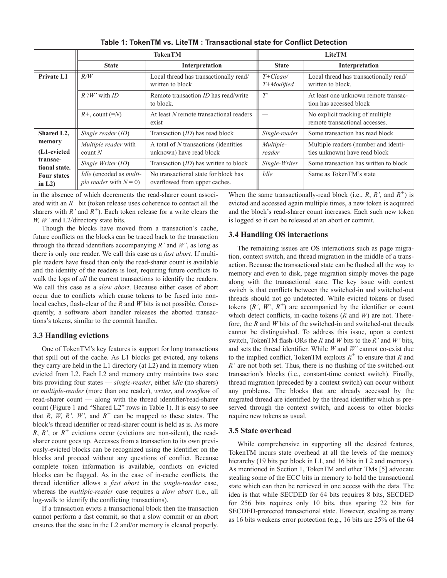|                                 |                                                                                                                                                                                                                                             | TokenTM                                                               | <b>LiteTM</b>              |                                                                       |  |  |
|---------------------------------|---------------------------------------------------------------------------------------------------------------------------------------------------------------------------------------------------------------------------------------------|-----------------------------------------------------------------------|----------------------------|-----------------------------------------------------------------------|--|--|
|                                 | <b>State</b><br>Interpretation                                                                                                                                                                                                              |                                                                       | <b>State</b>               | Interpretation                                                        |  |  |
| <b>Private L1</b>               | Local thread has transactionally read/<br>R/W<br>written to block<br>T'<br>$R'/W'$ with ID<br>Remote transaction <i>ID</i> has read/write<br>to block.<br>At least N remote transactional readers<br>$R+$ , count $(=\mathcal{N})$<br>exist |                                                                       | $T+Clean/$<br>$T+Modified$ | Local thread has transactionally read/<br>written to block.           |  |  |
|                                 |                                                                                                                                                                                                                                             |                                                                       |                            | At least one unknown remote transac-<br>tion has accessed block       |  |  |
|                                 |                                                                                                                                                                                                                                             |                                                                       |                            | No explicit tracking of multiple<br>remote transactional accesses.    |  |  |
| Shared L <sub>2</sub> ,         | Single reader (ID)                                                                                                                                                                                                                          | Transaction (ID) has read block                                       | Single-reader              | Some transaction has read block                                       |  |  |
| memory<br>(L1-evicted           | Multiple reader with<br>A total of N transactions (identities<br>unknown) have read block<br>count $N$                                                                                                                                      |                                                                       | Multiple-<br>reader        | Multiple readers (number and identi-<br>ties unknown) have read block |  |  |
| transac-<br>tional state.       | Single Writer (ID)                                                                                                                                                                                                                          | Transaction (ID) has written to block                                 | Single-Writer              | Some transaction has written to block                                 |  |  |
| <b>Four states</b><br>in $L2$ ) | Idle (encoded as multi-<br><i>ple reader</i> with $N = 0$ )                                                                                                                                                                                 | No transactional state for block has<br>overflowed from upper caches. | Idle                       | Same as TokenTM's state                                               |  |  |

**Table 1: TokenTM vs. LiteTM : Transactional state for Conflict Detection**

in the absence of which decrements the read-sharer count associated with an *R<sup>+</sup>* bit (token release uses coherence to contact all the sharers with  $R'$  and  $R^+$ ). Each token release for a write clears the *W, W'* and L2/directory state bits.

Though the blocks have moved from a transaction's cache, future conflicts on the blocks can be traced back to the transaction through the thread identifiers accompanying  $R'$  and  $W'$ , as long as there is only one reader. We call this case as a *fast abort*. If multiple readers have fused then only the read-sharer count is available and the identity of the readers is lost, requiring future conflicts to walk the logs of *all* the current transactions to identify the readers. We call this case as a *slow abort*. Because either cases of abort occur due to conflicts which cause tokens to be fused into nonlocal caches, flash-clear of the *R* and *W* bits is not possible. Consequently, a software abort handler releases the aborted transactions's tokens, similar to the commit handler.

# **3.3 Handling evictions**

One of TokenTM's key features is support for long transactions that spill out of the cache. As L1 blocks get evicted, any tokens they carry are held in the L1 directory (at L2) and in memory when evicted from L2. Each L2 and memory entry maintains two state bits providing four states — *single-reader*, either *idle* (no sharers) or *multiple-reader* (more than one reader), *writer*, and *overflow* of read-sharer count — along with the thread identifier/read-sharer count (Figure 1 and "Shared L2" rows in Table 1). It is easy to see that *R*, *W*, *R'*, *W'*, and  $R^+$  can be mapped to these states. The block's thread identifier or read-sharer count is held as is. As more *R*, *R'*, or  $R^+$  evictions occur (evictions are non-silent), the readsharer count goes up. Accesses from a transaction to its own previously-evicted blocks can be recognized using the identifier on the blocks and proceed without any questions of conflict. Because complete token information is available, conflicts on evicted blocks can be flagged. As in the case of in-cache conflicts, the thread identifier allows a *fast abort* in the *single-reader* case, whereas the *multiple-reader* case requires a *slow abort* (i.e., all log-walk to identify the conflicting transactions).

If a transaction evicts a transactional block then the transaction cannot perform a fast commit, so that a slow commit or an abort ensures that the state in the L2 and/or memory is cleared properly.

When the same transactionally-read block (i.e., *R*, *R'*, and  $R^+$ ) is evicted and accessed again multiple times, a new token is acquired and the block's read-sharer count increases. Each such new token is logged so it can be released at an abort or commit.

## **3.4 Handling OS interactions**

The remaining issues are OS interactions such as page migration, context switch, and thread migration in the middle of a transaction. Because the transactional state can be flushed all the way to memory and even to disk, page migration simply moves the page along with the transactional state. The key issue with context switch is that conflicts between the switched-in and switched-out threads should not go undetected. While evicted tokens or fused tokens  $(R', W', R^+)$  are accompanied by the identifier or count which detect conflicts, in-cache tokens (*R* and *W*) are not. Therefore, the *R* and *W* bits of the switched-in and switched-out threads cannot be distinguished. To address this issue, upon a context switch, TokenTM flash-ORs the *R* and *W* bits to the *R'* and *W'* bits, and sets the thread identifier. While *W* and *W'* cannot co-exist due to the implied conflict, TokenTM exploits  $R^+$  to ensure that  $R$  and *R'* are not both set. Thus, there is no flushing of the switched-out transaction's blocks (i.e., constant-time context switch). Finally, thread migration (preceded by a context switch) can occur without any problems. The blocks that are already accessed by the migrated thread are identified by the thread identifier which is preserved through the context switch, and access to other blocks require new tokens as usual.

### **3.5 State overhead**

While comprehensive in supporting all the desired features, TokenTM incurs state overhead at all the levels of the memory hierarchy (19 bits per block in L1, and 16 bits in L2 and memory). As mentioned in Section 1, TokenTM and other TMs [5] advocate stealing some of the ECC bits in memory to hold the transactional state which can then be retrieved in one access with the data. The idea is that while SECDED for 64 bits requires 8 bits, SECDED for 256 bits requires only 10 bits, thus sparing 22 bits for SECDED-protected transactional state. However, stealing as many as 16 bits weakens error protection (e.g., 16 bits are 25% of the 64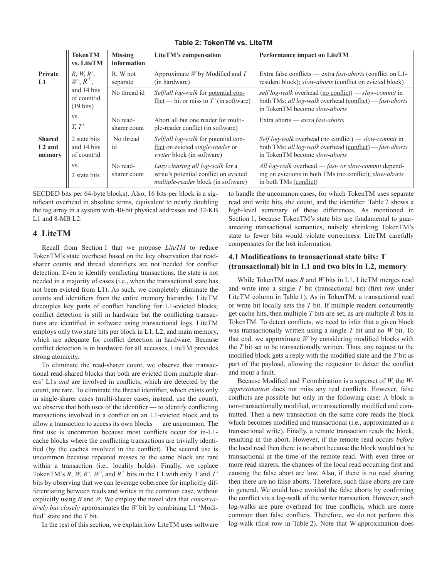|  |  | Table 2: TokenTM vs. LiteTM |
|--|--|-----------------------------|
|--|--|-----------------------------|

|                                     | <b>TokenTM</b><br>vs. LiteTM                                               | <b>Missing</b><br>information | LiteTM's compensation                                                                                                   | Performance impact on LiteTM                                                                                                                                     |
|-------------------------------------|----------------------------------------------------------------------------|-------------------------------|-------------------------------------------------------------------------------------------------------------------------|------------------------------------------------------------------------------------------------------------------------------------------------------------------|
| Private<br>L1                       | R, W, R',<br>$W, R^+$<br>and 14 bits<br>of count/id<br>$(19 \text{ bits})$ | R, W not<br>separate          | Approximate $W$ by Modified and $T$<br>(in hardware)                                                                    | Extra false conflicts — extra <i>fast-aborts</i> (conflict on $L1$ -<br>resident block); slow-aborts (conflict on evicted block)                                 |
|                                     |                                                                            | No thread id                  | <i>Self/all log-walk</i> for potential con-<br>flict — hit or miss to $T'$ (in software)                                | <i>self log-walk</i> overhead (no conflict) — <i>slow-commit</i> in<br>both TMs; all log-walk overhead (conflict) - fast-aborts<br>in TokenTM become slow-aborts |
| VS.<br>T, T'                        |                                                                            | No read-<br>sharer count      | Abort all but one reader for multi-<br>ple-reader conflict (in software)                                                | Extra aborts — extra <i>fast-aborts</i>                                                                                                                          |
| <b>Shared</b><br>$L2$ and<br>memory | 2 state bits<br>and 14 bits<br>of count/id                                 | No thread<br>id               | Self/all log-walk for potential con-<br>flict on evicted <i>single-reader</i> or<br>writer block (in software)          | <i>Self log-walk</i> overhead (no conflict) — slow-commit in<br>both TMs; all log-walk overhead (conflict) - fast-aborts<br>in TokenTM become slow-aborts        |
|                                     | VS.<br>2 state bits                                                        | No read-<br>sharer count      | Lazy clearing all log-walk for a<br>write's potential conflict on evicted<br><i>multiple-reader</i> block (in software) | All log-walk overhead — fast- or slow-commit depend-<br>ing on evictions in both TMs (no conflict); slow-aborts<br>in both TMs (conflict)                        |

SECDED bits per 64-byte blocks). Also, 16 bits per block is a significant overhead in absolute terms, equivalent to nearly doubling the tag array in a system with 40-bit physical addresses and 32-KB L1 and 8-MB L2.

## **4 LiteTM**

Recall from Section 1 that we propose *LiteTM* to reduce TokenTM's state overhead based on the key observation that readsharer counts and thread identifiers are not needed for conflict detection. Even to identify conflicting transactions, the state is not needed in a majority of cases (i.e., when the transactional state has not been evicted from L1). As such, we completely eliminate the counts and identifiers from the entire memory hierarchy. LiteTM decouples key parts of conflict handling for L1-evicted blocks; conflict detection is still in hardware but the conflicting transactions are identified in software using transactional logs. LiteTM employs only two state bits per block in L1, L2, and main memory, which are adequate for conflict detection in hardware. Because conflict detection is in hardware for all accesses, LiteTM provides strong atomicity.

To eliminate the read-sharer count, we observe that transactional read-shared blocks that both are evicted from multiple sharers' L1s *and* are involved in conflicts, which are detected by the count, are rare. To eliminate the thread identifier, which exists only in single-sharer cases (multi-sharer cases, instead, use the count), we observe that both uses of the identifier — to identify conflicting transactions involved in a conflict on an L1-evicted block and to allow a transaction to access its own blocks — are uncommon. The first use is uncommon because most conflicts occur for in-L1 cache blocks where the conflicting transactions are trivially identified (by the caches involved in the conflict). The second use is uncommon because repeated misses to the same block are rare within a transaction (i.e., locality holds). Finally, we replace TokenTM's  $R$ ,  $W$ ,  $R'$ ,  $W'$ , and  $R^+$  bits in the L1 with only  $T$  and  $T'$ bits by observing that we can leverage coherence for implicitly differentiating between reads and writes in the common case, without explicitly using *R* and *W*. We employ the novel idea that *conservatively but closely* approximates the *W* bit by combining L1 'Modified' state and the *T* bit.

In the rest of this section, we explain how LiteTM uses software

to handle the uncommon cases, for which TokenTM uses separate read and write bits, the count, and the identifier. Table 2 shows a high-level summary of these differences. As mentioned in Section 1, because TokenTM's state bits are fundamental to guaranteeing transactional semantics, naively shrinking TokenTM's state to fewer bits would violate correctness. LiteTM carefully compensates for the lost information.

# **4.1 Modifications to transactional state bits: T (transactional) bit in L1 and two bits in L2, memory**

While TokenTM uses *R* and *W* bits in L1, LiteTM merges read and write into a single *T* bit (transactional bit) (first row under LiteTM column in Table 1). As in TokenTM, a transactional read or write hit locally sets the *T* bit. If multiple readers concurrently get cache hits, then multiple *T* bits are set, as are multiple *R* bits in TokenTM. To detect conflicts, we need to infer that a given block was transactionally written using a single *T* bit and no *W* bit. To that end, we approximate *W* by considering modified blocks with the *T* bit set to be transactionally written. Thus, any request to the modified block gets a reply with the modified state and the *T* bit as part of the payload, allowing the requestor to detect the conflict and incur a fault.

Because Modified and *T* combination is a superset of *W*, the *Wapproximation* does not miss any real conflicts. However, false conflicts are possible but only in the following case: A block is non-transactionally modified, or transactionally modified and committed. Then a new transaction on the same core reads the block which becomes modified and transactional (i.e., approximated as a transactional write). Finally, a remote transaction reads the block, resulting in the abort. However, if the remote read occurs *before* the local read then there is no abort because the block would not be transactional at the time of the remote read. With even three or more read sharers, the chances of the local read occurring first and causing the false abort are low. Also, if there is no read sharing then there are no false aborts. Therefore, such false aborts are rare in general. We could have avoided the false aborts by confirming the conflict via a log-walk of the writer transaction. However, such log-walks are pure overhead for true conflicts, which are more common than false conflicts. Therefore, we do not perform this log-walk (first row in Table 2). Note that W-approximation does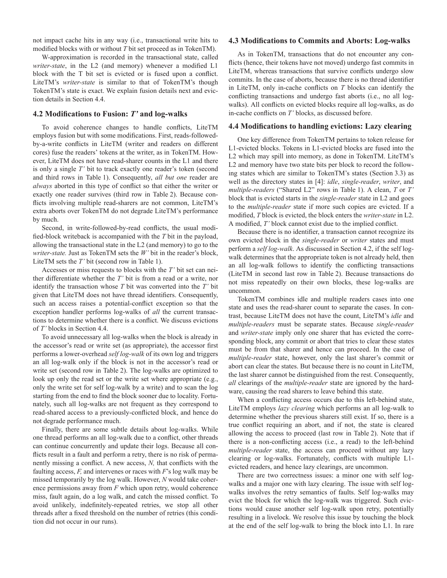not impact cache hits in any way (i.e., transactional write hits to modified blocks with or without *T* bit set proceed as in TokenTM).

W-approximation is recorded in the transactional state, called *writer-state*, in the L2 (and memory) whenever a modified L1 block with the T bit set is evicted or is fused upon a conflict. LiteTM's *writer-state* is similar to that of TokenTM's though TokenTM's state is exact. We explain fusion details next and eviction details in Section 4.4.

### **4.2 Modifications to Fusion:** *T'* **and log-walks**

To avoid coherence changes to handle conflicts, LiteTM employs fusion but with some modifications. First, reads-followedby-a-write conflicts in LiteTM (writer and readers on different cores) fuse the readers' tokens at the writer, as in TokenTM. However, LiteTM does not have read-sharer counts in the L1 and there is only a single *T'* bit to track exactly one reader's token (second and third rows in Table 1). Consequently, *all but one* reader are *always* aborted in this type of conflict so that either the writer or exactly one reader survives (third row in Table 2). Because conflicts involving multiple read-sharers are not common, LiteTM's extra aborts over TokenTM do not degrade LiteTM's performance by much.

Second, in write-followed-by-read conflicts, the usual modified-block writeback is accompanied with the *T* bit in the payload, allowing the transactional state in the L2 (and memory) to go to the *writer-state.* Just as TokenTM sets the *W'* bit in the reader's block, LiteTM sets the *T'* bit (second row in Table 1).

Accesses or miss requests to blocks with the *T'* bit set can neither differentiate whether the *T'* bit is from a read or a write, nor identify the transaction whose *T* bit was converted into the *T'* bit given that LiteTM does not have thread identifiers. Consequently, such an access raises a potential-conflict exception so that the exception handler performs log-walks of *all* the current transactions to determine whether there is a conflict. We discuss evictions of *T'* blocks in Section 4.4.

To avoid unnecessary all log-walks when the block is already in the accessor's read or write set (as appropriate), the accessor first performs a lower-overhead *self log-walk* of its own log and triggers an all log-walk only if the block is not in the accessor's read or write set (second row in Table 2). The log-walks are optimized to look up only the read set or the write set where appropriate (e.g., only the write set for self log-walk by a write) and to scan the log starting from the end to find the block sooner due to locality. Fortunately, such all log-walks are not frequent as they correspond to read-shared access to a previously-conflicted block, and hence do not degrade performance much.

Finally, there are some subtle details about log-walks. While one thread performs an all log-walk due to a conflict, other threads can continue concurrently and update their logs. Because all conflicts result in a fault and perform a retry, there is no risk of permanently missing a conflict. A new access, *N,* that conflicts with the faulting access, *F,* and intervenes or races with *F*'s log walk may be missed temporarily by the log walk. However, *N* would take coherence permissions away from *F* which upon retry, would coherence miss, fault again, do a log walk, and catch the missed conflict. To avoid unlikely, indefinitely-repeated retries, we stop all other threads after a fixed threshold on the number of retries (this condition did not occur in our runs).

## **4.3 Modifications to Commits and Aborts: Log-walks**

As in TokenTM, transactions that do not encounter any conflicts (hence, their tokens have not moved) undergo fast commits in LiteTM, whereas transactions that survive conflicts undergo slow commits. In the case of aborts, because there is no thread identifier in LiteTM, only in-cache conflicts on *T* blocks can identify the conflicting transactions and undergo fast aborts (i.e., no all logwalks). All conflicts on evicted blocks require all log-walks, as do in-cache conflicts on *T'* blocks, as discussed before.

#### **4.4 Modifications to handling evictions: Lazy clearing**

One key difference from TokenTM pertains to token release for L1-evicted blocks. Tokens in L1-evicted blocks are fused into the L2 which may spill into memory, as done in TokenTM. LiteTM's L2 and memory have two state bits per block to record the following states which are similar to TokenTM's states (Section 3.3) as well as the directory states in [4]: *idle*, *single-reader*, *writer*, and *multiple-readers* ("Shared L2" rows in Table 1). A clean, *T* or *T'* block that is evicted starts in the *single-reader* state in L2 and goes to the *multiple-reader* state if more such copies are evicted. If a modified, *T* block is evicted, the block enters the *writer-state* in L2. A modified, *T'* block cannot exist due to the implied conflict.

Because there is no identifier, a transaction cannot recognize its own evicted block in the *single-reader* or *writer* states and must perform a *self log-walk*. As discussed in Section 4.2, if the self logwalk determines that the appropriate token is not already held, then an all log-walk follows to identify the conflicting transactions (LiteTM in second last row in Table 2). Because transactions do not miss repeatedly on their own blocks, these log-walks are uncommon.

TokenTM combines idle and multiple readers cases into one state and uses the read-sharer count to separate the cases. In contrast, because LiteTM does not have the count, LiteTM's *idle* and *multiple-readers* must be separate states. Because *single-reader* and *writer-state* imply only one sharer that has evicted the corresponding block, any commit or abort that tries to clear these states must be from that sharer and hence can proceed. In the case of *multiple-reader* state, however, only the last sharer's commit or abort can clear the states. But because there is no count in LiteTM, the last sharer cannot be distinguished from the rest. Consequently, *all* clearings of the *multiple-reader* state are ignored by the hardware, causing the read sharers to leave behind this state.

When a conflicting access occurs due to this left-behind state, LiteTM employs *lazy clearing* which performs an all log-walk to determine whether the previous sharers still exist. If so, there is a true conflict requiring an abort, and if not, the state is cleared allowing the access to proceed (last row in Table 2). Note that if there is a non-conflicting access (i.e., a read) to the left-behind *multiple-reader* state, the access can proceed without any lazy clearing or log-walks. Fortunately, conflicts with multiple L1 evicted readers, and hence lazy clearings, are uncommon.

There are two correctness issues: a minor one with self logwalks and a major one with lazy clearing. The issue with self logwalks involves the retry semantics of faults. Self log-walks may evict the block for which the log-walk was triggered. Such evictions would cause another self log-walk upon retry, potentially resulting in a livelock. We resolve this issue by touching the block at the end of the self log-walk to bring the block into L1. In rare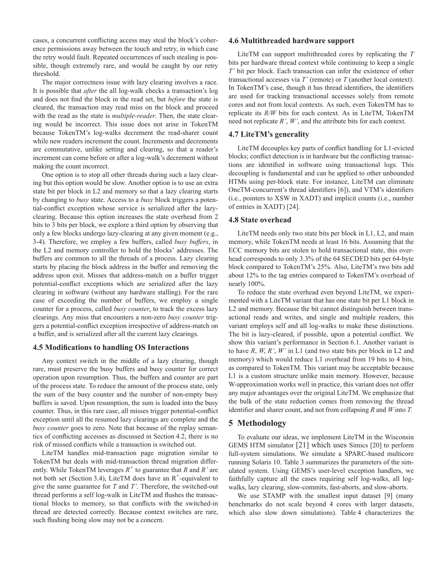cases, a concurrent conflicting access may steal the block's coherence permissions away between the touch and retry, in which case the retry would fault. Repeated occurrences of such stealing is possible, though extremely rare, and would be caught by our retry threshold.

The major correctness issue with lazy clearing involves a race. It is possible that *after* the all log-walk checks a transaction's log and does not find the block in the read set, but *before* the state is cleared, the transaction may read miss on the block and proceed with the read as the state is *multiple-reader*. Then, the state clearing would be incorrect. This issue does not arise in TokenTM because TokenTM's log-walks decrement the read-sharer count while new readers increment the count. Increments and decrements are commutative, unlike setting and clearing, so that a reader's increment can come before or after a log-walk's decrement without making the count incorrect.

One option is to stop all other threads during such a lazy clearing but this option would be slow. Another option is to use an extra state bit per block in L2 and memory so that a lazy clearing starts by changing to *busy* state. Access to a *busy* block triggers a potential-conflict exception whose service is serialized after the lazyclearing. Because this option increases the state overhead from 2 bits to 3 bits per block, we explore a third option by observing that only a few blocks undergo lazy-clearing at any given moment (e.g., 3-4). Therefore, we employ a few buffers, called *busy buffers*, in the L2 and memory controller to hold the blocks' addresses. The buffers are common to all the threads of a process. Lazy clearing starts by placing the block address in the buffer and removing the address upon exit. Misses that address-match on a buffer trigger potential-conflict exceptions which are serialized after the lazy clearing in software (without any hardware stalling). For the rare case of exceeding the number of buffers, we employ a single counter for a process, called *busy counter*, to track the excess lazy clearings. Any miss that encounters a non-zero *busy counter* triggers a potential-conflict exception irrespective of address-match on a buffer, and is serialized after all the current lazy clearings.

#### **4.5 Modifications to handling OS Interactions**

Any context switch in the middle of a lazy clearing, though rare, must preserve the busy buffers and busy counter for correct operation upon resumption. Thus, the buffers and counter are part of the process state. To reduce the amount of the process state, only the sum of the busy counter and the number of non-empty busy buffers is saved. Upon resumption, the sum is loaded into the busy counter. Thus, in this rare case, all misses trigger potential-conflict exception until all the resumed lazy clearings are complete and the *busy counter* goes to zero. Note that because of the replay semantics of conflicting accesses as discussed in Section 4.2, there is no risk of missed conflicts while a transaction is switched out.

LiteTM handles mid-transaction page migration similar to TokenTM but deals with mid-transaction thread migration differently. While TokenTM leverages  $R^+$  to guarantee that R and R' are not both set (Section 3.4), LiteTM does have an  $R^+$ -equivalent to give the same guarantee for *T* and *T'*. Therefore, the switched-out thread performs a self log-walk in LiteTM and flushes the transactional blocks to memory, so that conflicts with the switched-in thread are detected correctly. Because context switches are rare, such flushing being slow may not be a concern.

## **4.6 Multithreaded hardware support**

LiteTM can support multithreaded cores by replicating the *T* bits per hardware thread context while continuing to keep a single *T'* bit per block. Each transaction can infer the existence of other transactional accesses via *T'* (remote) or *T* (another local context). In TokenTM's case, though it has thread identifiers, the identifiers are used for tracking transactional accesses solely from remote cores and not from local contexts. As such, even TokenTM has to replicate its *R/W* bits for each context. As in LiteTM, TokenTM need not replicate *R'*, *W'*, and the attribute bits for each context.

#### **4.7 LiteTM's generality**

LiteTM decouples key parts of conflict handling for L1-evicted blocks; conflict detection is in hardware but the conflicting transactions are identified in software using transactional logs. This decoupling is fundamental and can be applied to other unbounded HTMs using per-block state. For instance, LiteTM can eliminate OneTM-concurrent's thread identifiers [6]), and VTM's identifiers (i.e., pointers to XSW in XADT) and implicit counts (i.e., number of entries in XADT) [24].

### **4.8 State overhead**

LiteTM needs only two state bits per block in L1, L2, and main memory, while TokenTM needs at least 16 bits. Assuming that the ECC memory bits are stolen to hold transactional state, this overhead corresponds to only 3.3% of the 64 SECDED bits per 64-byte block compared to TokenTM's 25%. Also, LiteTM's two bits add about 12% to the tag entries compared to TokenTM's overhead of nearly 100%.

To reduce the state overhead even beyond LiteTM, we experimented with a LiteTM variant that has one state bit per L1 block in L2 and memory. Because the bit cannot distinguish between transactional reads and writes, and single and multiple readers, this variant employs self and all log-walks to make these distinctions. The bit is lazy-cleared, if possible, upon a potential conflict. We show this variant's performance in Section 6.1. Another variant is to have *R*, *W*, *R'*, *W'* in L1 (and two state bits per block in L2 and memory) which would reduce L1 overhead from 19 bits to 4 bits, as compared to TokenTM. This variant may be acceptable because L1 is a custom structure unlike main memory. However, because W-approximation works well in practice, this variant does not offer any major advantages over the original LiteTM. We emphasize that the bulk of the state reduction comes from removing the thread identifier and sharer count, and not from collapsing *R* and *W* into *T*.

# **5 Methodology**

To evaluate our ideas, we implement LiteTM in the Wisconsin GEMS HTM simulator [21] which uses Simics [20] to perform full-system simulations. We simulate a SPARC-based multicore running Solaris 10. Table 3 summarizes the parameters of the simulated system. Using GEMS's user-level exception handlers, we faithfully capture all the cases requiring self log-walks, all logwalks, lazy clearing, slow-commits, fast-aborts, and slow-aborts.

We use STAMP with the smallest input dataset [9] (many benchmarks do not scale beyond 4 cores with larger datasets, which also slow down simulations). Table 4 characterizes the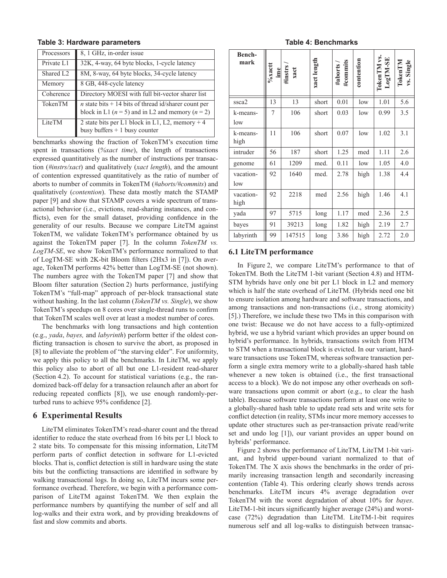#### **Table 3: Hardware parameters**

| Processors            | 8, 1 GHz, in-order issue                                                                                                  |
|-----------------------|---------------------------------------------------------------------------------------------------------------------------|
| Private L1            | 32K, 4-way, 64 byte blocks, 1-cycle latency                                                                               |
| Shared L <sub>2</sub> | 8M, 8-way, 64 byte blocks, 34-cycle latency                                                                               |
| Memory                | 8 GB, 448-cycle latency                                                                                                   |
| Coherence             | Directory MOESI with full bit-vector sharer list                                                                          |
| TokenTM               | <i>n</i> state bits $+ 14$ bits of thread id/sharer count per<br>block in L1 ( $n = 5$ ) and in L2 and memory ( $n = 2$ ) |
| LiteTM                | 2 state bits per L1 block in L1, L2, memory $+4$<br>busy buffers $+1$ busy counter                                        |

benchmarks showing the fraction of TokenTM's execution time spent in transactions (*%xact time*), the length of transactions expressed quantitatively as the number of instructions per transaction (*#instrs/xact*) and qualitatively (*xact length*), and the amount of contention expressed quantitatively as the ratio of number of aborts to number of commits in TokenTM (*#aborts/#commits*) and qualitatively (*contention*). These data mostly match the STAMP paper [9] and show that STAMP covers a wide spectrum of transactional behavior (i.e., evictions, read-sharing instances, and conflicts), even for the small dataset, providing confidence in the generality of our results. Because we compare LiteTM against TokenTM, we validate TokenTM's performance obtained by us against the TokenTM paper [7]. In the column *TokenTM vs. LogTM-SE*, we show TokenTM's performance normalized to that of LogTM-SE with 2K-bit Bloom filters (2Hx3 in [7]). On average, TokenTM performs 42% better than LogTM-SE (not shown). The numbers agree with the TokenTM paper [7] and show that Bloom filter saturation (Section 2) hurts performance, justifying TokenTM's "full-map" approach of per-block transactional state without hashing. In the last column (*TokenTM vs. Single*), we show TokenTM's speedups on 8 cores over single-thread runs to confirm that TokenTM scales well over at least a modest number of cores.

The benchmarks with long transactions and high contention (e.g., *yada*, *bayes,* and *labyrinth*) perform better if the oldest conflicting transaction is chosen to survive the abort, as proposed in [8] to alleviate the problem of "the starving elder". For uniformity, we apply this policy to all the benchmarks. In LiteTM, we apply this policy also to abort of all but one L1-resident read-sharer (Section 4.2). To account for statistical variations (e.g., the randomized back-off delay for a transaction relaunch after an abort for reducing repeated conflicts [8]), we use enough randomly-perturbed runs to achieve 95% confidence [2].

### **6 Experimental Results**

LiteTM eliminates TokenTM's read-sharer count and the thread identifier to reduce the state overhead from 16 bits per L1 block to 2 state bits. To compensate for this missing information, LiteTM perform parts of conflict detection in software for L1-evicted blocks. That is, conflict detection is still in hardware using the state bits but the conflicting transactions are identified in software by walking transactional logs. In doing so, LiteTM incurs some performance overhead. Therefore, we begin with a performance comparison of LiteTM against TokenTM. We then explain the performance numbers by quantifying the number of self and all log-walks and their extra work, and by providing breakdowns of fast and slow commits and aborts.

#### **Table 4: Benchmarks**

| Bench-<br>mark    | $\frac{1}{2}$ $\frac{1}{2}$ | ime<br>#instrs<br>xact | xact length | #commits<br>#aborts | contention | TokenTM vs.<br>LogTM-SE | TokenTM<br>vs. Single |
|-------------------|-----------------------------|------------------------|-------------|---------------------|------------|-------------------------|-----------------------|
| ssca2             | 13                          | 13                     | short       | 0.01                | low        | 1.01                    | 5.6                   |
| k-means-<br>low   | 7                           | 106                    | short       | 0.03                | low        | 0.99                    | 3.5                   |
| k-means-<br>high  | 11                          | 106                    | short       | 0.07                | low        | 1.02                    | 3.1                   |
| intruder          | 56                          | 187                    | short       | 1.25                | med        | 1.11                    | 2.6                   |
| genome            | 61                          | 1209                   | med.        | 0.11                | low        | 1.05                    | 4.0                   |
| vacation-<br>low  | 92                          | 1640                   | med.        | 2.78                | high       | 1.38                    | 4.4                   |
| vacation-<br>high | 92                          | 2218                   | med         | 2.56                | high       | 1.46                    | 4.1                   |
| yada              | 97                          | 5715                   | long        | 1.17                | med        | 2.36                    | 2.5                   |
| bayes             | 91                          | 39213                  | long        | 1.82                | high       | 2.19                    | 2.7                   |
| labyrinth         | 99                          | 147515                 | long        | 3.86                | high       | 2.72                    | 2.0                   |

#### **6.1 LiteTM performance**

In Figure 2, we compare LiteTM's performance to that of TokenTM. Both the LiteTM 1-bit variant (Section 4.8) and HTM-STM hybrids have only one bit per L1 block in L2 and memory which is half the state overhead of LiteTM. (Hybrids need one bit to ensure isolation among hardware and software transactions, and among transactions and non-transactions (i.e., strong atomicity) [5].) Therefore, we include these two TMs in this comparison with one twist: Because we do not have access to a fully-optimized hybrid, we use a hybrid variant which provides an upper bound on hybrid's performance. In hybrids, transactions switch from HTM to STM when a transactional block is evicted. In our variant, hardware transactions use TokenTM, whereas software transaction perform a single extra memory write to a globally-shared hash table whenever a new token is obtained (i.e., the first transactional access to a block). We do not impose any other overheads on software transactions upon commit or abort (e.g., to clear the hash table). Because software transactions perform at least one write to a globally-shared hash table to update read sets and write sets for conflict detection (in reality, STMs incur more memory accesses to update other structures such as per-transaction private read/write set and undo log [1]), our variant provides an upper bound on hybrids' performance.

Figure 2 shows the performance of LiteTM, LiteTM 1-bit variant, and hybrid upper-bound variant normalized to that of TokenTM. The X axis shows the benchmarks in the order of primarily increasing transaction length and secondarily increasing contention (Table 4). This ordering clearly shows trends across benchmarks. LiteTM incurs 4% average degradation over TokenTM with the worst degradation of about 10% for *bayes*. LiteTM-1-bit incurs significantly higher average (24%) and worstcase (72%) degradation than LiteTM. LiteTM-1-bit requires numerous self and all log-walks to distinguish between transac-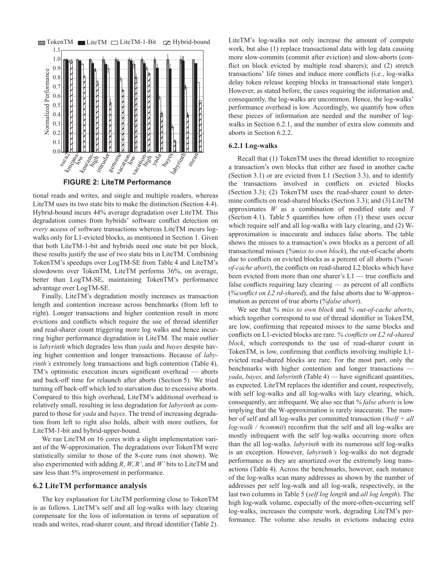

**FIGURE 2: LiteTM Performance**

tional reads and writes, and single and multiple readers, whereas LiteTM uses its two state bits to make the distinction (Section 4.4). Hybrid-bound incurs 44% average degradation over LiteTM. This degradation comes from hybrids' software conflict detection on *every* access of software transactions whereas LiteTM incurs logwalks only for L1-evicted blocks, as mentioned in Section 1. Given that both LiteTM-1-bit and hybrids need one state bit per block, these results justify the use of two state bits in LiteTM. Combining TokenTM's speedups over LogTM-SE from Table 4 and LiteTM's slowdowns over TokenTM, LiteTM performs 36%, on average, better than LogTM-SE, maintaining TokenTM's performance advantage over LogTM-SE.

Finally, LiteTM's degradation mostly increases as transaction length and contention increase across benchmarks (from left to right). Longer transactions and higher contention result in more evictions and conflicts which require the use of thread identifier and read-sharer count triggering more log walks and hence incurring higher performance degradation in LiteTM. The main outlier is *labyrinth* which degrades less than *yada* and *bayes* despite having higher contention and longer transactions. Because of *labyrinth's* extremely long transactions and high contention (Table 4), TM's optimistic execution incurs significant overhead — aborts and back-off time for relaunch after aborts (Section 5). We tried turning off back-off which led to starvation due to excessive aborts. Compared to this high overhead, LiteTM's additional overhead is relatively small, resulting in less degradation for *labyrinth* as compared to those for *yada* and *bayes*. The trend of increasing degradation from left to right also holds, albeit with more outliers, for LiteTM-1-bit and hybrid-upper-bound.

We ran LiteTM on 16 cores with a slight implementation variant of the W-approximation. The degradations over TokenTM were statistically similar to those of the 8-core runs (not shown). We also experimented with adding *R*, *W*, *R'*, and *W'* bits to LiteTM and saw less than 5% improvement in performance.

# **6.2 LiteTM performance analysis**

The key explanation for LiteTM performing close to TokenTM is as follows. LiteTM's self and all log-walks with lazy clearing compensate for the loss of information in terms of separation of reads and writes, read-sharer count, and thread identifier (Table 2).

LiteTM's log-walks not only increase the amount of compute work, but also (1) replace transactional data with log data causing more slow-commits (commit after eviction) and slow-aborts (conflict on block evicted by multiple read sharers); and (2) stretch transactions' life times and induce more conflicts (i.e., log-walks delay token release keeping blocks in transactional state longer). However, as stated before, the cases requiring the information and, consequently, the log-walks are uncommon. Hence, the log-walks' performance overhead is low. Accordingly, we quantify how often these pieces of information are needed and the number of logwalks in Section 6.2.1, and the number of extra slow commits and aborts in Section 6.2.2.

#### **6.2.1 Log-walks**

Recall that (1) TokenTM uses the thread identifier to recognize a transaction's own blocks that either are fused in another cache (Section 3.1) or are evicted from L1 (Section 3.3), and to identify the transactions involved in conflicts on evicted blocks (Section 3.3); (2) TokenTM uses the read-sharer count to determine conflicts on read-shared blocks (Section 3.3); and (3) LiteTM approximates *W* as a combination of modified state and *T* (Section 4.1). Table 5 quantifies how often (1) these uses occur which require self and all log-walks with lazy clearing, and (2) Wapproximation is inaccurate and induces false aborts. The table shows the misses to a transaction's own blocks as a percent of all transactional misses (*%miss to own block*), the out-of-cache aborts due to conflicts on evicted blocks as a percent of all aborts (*%outof-cache abort*), the conflicts on read-shared L2 blocks which have been evicted from more than one sharer's L1 — true conflicts and false conflicts requiring lazy clearing — as percent of all conflicts (*%conflict on L2 rd-shared*), and the false aborts due to W-approximation as percent of true aborts (*%false abort*).

We see that *% miss to own block* and *% out-of-cache aborts*, which together correspond to use of thread identifier in TokenTM, are low, confirming that repeated misses to the same blocks and conflicts on L1-evicted blocks are rare. *% conflicts on L2 rd-shared block*, which corresponds to the use of read-sharer count in TokenTM, is low, confirming that conflicts involving multiple L1 evicted read-shared blocks are rare. For the most part, only the benchmarks with higher contention and longer transactions *yada*, *bayes,* and *labyrinth* (Table 4) — have significant quantities, as expected. LiteTM replaces the identifier and count, respectively, with self log-walks and all log-walks with lazy clearing, which, consequently, are infrequent. We also see that *% false aborts* is low implying that the W-approximation is rarely inaccurate. The number of self and all log-walks per committed transaction (*#self + all log-walk / #commit*) reconfirm that the self and all log-walks are mostly infrequent with the self log-walks occurring more often than the all log-walks. *labyrinth* with its numerous self log-walks is an exception. However, *labyrinth's* log-walks do not degrade performance as they are amortized over the extremely long transactions (Table 4). Across the benchmarks, however, each instance of the log-walks scan many addresses as shown by the number of addresses per self log-walk and all log-walk, respectively, in the last two columns in Table 5 (*self log length* and *all log length*). The high log-walk volume, especially of the more-often-occurring self log-walks, increases the compute work, degrading LiteTM's performance. The volume also results in evictions inducing extra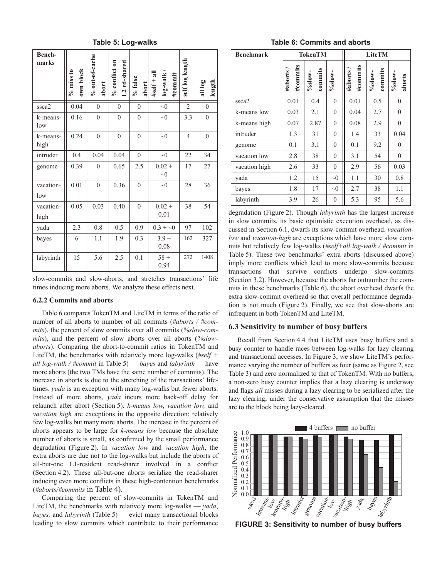| Bench-<br>marks   | own block<br>$\%$ miss to | % out-of-cache<br>abort | % conflict on<br>L2 rd-shared | % false<br>abort | $#self + all$<br>log-walk<br>#commit | self log length | all log<br>length |
|-------------------|---------------------------|-------------------------|-------------------------------|------------------|--------------------------------------|-----------------|-------------------|
| ssca2             | 0.04                      | $\boldsymbol{0}$        | $\overline{0}$                | $\overline{0}$   | ${\sim}0$                            | $\overline{2}$  | $\mathbf{0}$      |
| k-means-<br>low   | 0.16                      | $\boldsymbol{0}$        | $\mathbf{0}$                  | $\mathbf{0}$     | $\sim 0$                             | 3.3             | $\mathbf{0}$      |
| k-means-<br>high  | 0.24                      | $\mathbf{0}$            | $\overline{0}$                | $\mathbf{0}$     | ${\sim}0$                            | $\overline{4}$  | $\mathbf{0}$      |
| intruder          | 0.4                       | 0.04                    | 0.04                          | $\mathbf{0}$     | $\sim 0$                             | 22              | 34                |
| genome            | 0.39                      | $\boldsymbol{0}$        | 0.65                          | 2.5              | $0.02 +$<br>$\sim 0$                 | 17              | $27\,$            |
| vacation-<br>low  | 0.01                      | $\boldsymbol{0}$        | 0.36                          | $\mathbf{0}$     | $\sim 0$                             | 28              | 36                |
| vacation-<br>high | 0.05                      | 0.03                    | 0.40                          | $\mathbf{0}$     | $0.02 +$<br>0.01                     | 38              | 54                |
| yada              | 2.3                       | 0.8                     | 0.5                           | 0.9              | $0.3 + -0$                           | 97              | 102               |
| bayes             | 6                         | 1.1                     | 1.9                           | 0.3              | $3.9 +$<br>0.08                      | 162             | 327               |
| labyrinth         | 15                        | 5.6                     | 2.5                           | 0.1              | $58 +$<br>0.94                       | 272             | 1408              |

**Table 5: Log-walks**

slow-commits and slow-aborts, and stretches transactions' life times inducing more aborts. We analyze these effects next.

#### **6.2.2 Commits and aborts**

Table 6 compares TokenTM and LiteTM in terms of the ratio of number of all aborts to number of all commits (*#aborts / #commits*), the percent of slow commits over all commits (*%slow-commits*), and the percent of slow aborts over all aborts (*%slowaborts*). Comparing the abort-to-commit ratios in TokenTM and LiteTM, the benchmarks with relatively more log-walks (*#self + all log-walk / #commit* in Table 5) — *bayes* and *labyrinth —* have more aborts (the two TMs have the same number of commits). The increase in aborts is due to the stretching of the transactions' lifetimes. *yada* is an exception with many log-walks but fewer aborts. Instead of more aborts, *yada* incurs more back-off delay for relaunch after abort (Section 5). *k-means low*, *vacation low,* and *vacation high* are exceptions in the opposite direction: relatively few log-walks but many more aborts. The increase in the percent of aborts appears to be large for *k-means low* because the absolute number of aborts is small, as confirmed by the small performance degradation (Figure 2). In *vacation low* and *vacation high*, the extra aborts are due not to the log-walks but include the aborts of all-but-one L1-resident read-sharer involved in a conflict (Section 4.2). These all-but-one aborts serialize the read-sharer inducing even more conflicts in these high-contention benchmarks (*#aborts/#commits* in Table 4).

Comparing the percent of slow-commits in TokenTM and LiteTM, the benchmarks with relatively more log-walks — *yada*, *bayes,* and *labyrinth* (Table 5) — evict many transactional blocks leading to slow commits which contribute to their performance

#### **Table 6: Commits and aborts**

| <b>Benchmark</b>     | <b>TokenTM</b>      |                                   |                  | <b>LiteTM</b>       |                        |                      |  |
|----------------------|---------------------|-----------------------------------|------------------|---------------------|------------------------|----------------------|--|
|                      | #commits<br>#aborts | commits<br>$-$ <i>A</i> 0[89 $\%$ | $\%$ slow-       | #commits<br>#aborts | commits<br>$-v$ oslow- | $\%$ slow-<br>aborts |  |
| ssca2                | 0.01                | 0.4                               | $\mathbf{0}$     | 0.01                | 0.5                    | $\boldsymbol{0}$     |  |
| k-means low          | 0.03                | 2.1                               | $\mathbf{0}$     | 0.04                | 2.7                    | $\overline{0}$       |  |
| 0.07<br>k-means high |                     | 2.87                              | $\theta$         | 0.08                | 2.9                    | $\boldsymbol{0}$     |  |
| intruder             | 1.3                 | 31                                | $\mathbf{0}$     | 1.4                 | 33                     | 0.04                 |  |
| genome               | 0.1                 | 3.1                               | $\mathbf{0}$     | 0.1                 | 9.2                    | $\overline{0}$       |  |
| vacation low         | 2.8                 | 38                                | $\mathbf{0}$     | 3.1                 | 54                     | $\boldsymbol{0}$     |  |
| vacation high        | 2.6                 | 33                                | $\mathbf{0}$     | 2.9                 | 56                     | 0.03                 |  |
| yada                 | 1.2                 | 15                                | $\sim 0$         | 1.1                 | 30                     | 0.8                  |  |
| bayes                | 1.8                 | 17                                | $\sim 0$         | 2.7                 | 38                     | 1.1                  |  |
| labyrinth            | 3.9                 | 26                                | $\boldsymbol{0}$ | 5.3                 | 95                     | 5.6                  |  |

degradation (Figure 2). Though *labyrinth* has the largest increase in slow commits, its basic optimistic execution overhead, as discussed in Section 6.1, dwarfs its slow-commit overhead. *vacationlow* and *vacation-high* are exceptions which have more slow commits but relatively few log-walks (*#self+all log-walk / #commit* in Table 5). These two benchmarks' extra aborts (discussed above) imply more conflicts which lead to more slow-commits because transactions that survive conflicts undergo slow-commits (Section 3.2). However, because the aborts far outnumber the commits in these benchmarks (Table 6), the abort overhead dwarfs the extra slow-commit overhead so that overall performance degradation is not much (Figure 2). Finally, we see that slow-aborts are infrequent in both TokenTM and LiteTM.

#### **6.3 Sensitivity to number of busy buffers**

Recall from Section 4.4 that LiteTM uses busy buffers and a busy counter to handle races between log-walks for lazy clearing and transactional accesses. In Figure 3, we show LiteTM's performance varying the number of buffers as four (same as Figure 2, see Table 3) and zero normalized to that of TokenTM. With no buffers, a non-zero busy counter implies that a lazy clearing is underway and flags *all* misses during a lazy clearing to be serialized after the lazy clearing, under the conservative assumption that the misses are to the block being lazy-cleared.



**FIGURE 3: Sensitivity to number of busy buffers**